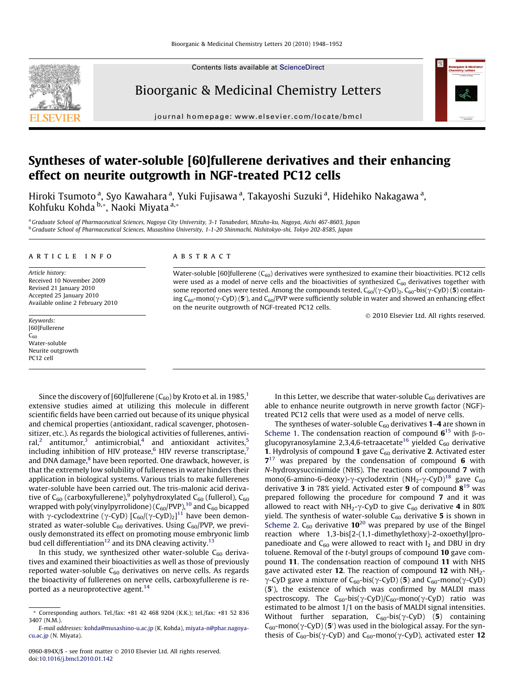Contents lists available at [ScienceDirect](http://www.sciencedirect.com/science/journal/0960894X)



Bioorganic & Medicinal Chemistry Letters

journal homepage: [www.elsevier.com/locate/bmcl](http://www.elsevier.com/locate/bmcl)



# Syntheses of water-soluble [60]fullerene derivatives and their enhancing effect on neurite outgrowth in NGF-treated PC12 cells

Hiroki Tsumoto <sup>a</sup>, Syo Kawahara <sup>a</sup>, Yuki Fujisawa <sup>a</sup>, Takayoshi Suzuki <sup>a</sup>, Hidehiko Nakagawa <sup>a</sup>, Kohfuku Kohda b,\*, Naoki Miyata a,\*

a Graduate School of Pharmaceutical Sciences, Nagoya City University, 3-1 Tanabedori, Mizuho-ku, Nagoya, Aichi 467-8603, Japan <sup>b</sup> Graduate School of Pharmaceutical Sciences, Musashino University, 1-1-20 Shinmachi, Nishitokyo-shi, Tokyo 202-8585, Japan

### article info

Article history: Received 10 November 2009 Revised 21 January 2010 Accepted 25 January 2010 Available online 2 February 2010

Keywords: [60]Fullerene  $C_{60}$ Water-soluble Neurite outgrowth PC12 cell

**ABSTRACT** 

Water-soluble [60]fullerene  $(C_{60})$  derivatives were synthesized to examine their bioactivities. PC12 cells were used as a model of nerve cells and the bioactivities of synthesized  $C_{60}$  derivatives together with some reported ones were tested. Among the compounds tested,  $C_{60}/(\gamma$ -CyD)<sub>2</sub>,  $C_{60}$ -bis( $\gamma$ -CyD) (5) containing  $C_{60}$ -mono( $\gamma$ -CyD) (5'), and  $C_{60}$ /PVP were sufficiently soluble in water and showed an enhancing effect on the neurite outgrowth of NGF-treated PC12 cells.

- 2010 Elsevier Ltd. All rights reserved.

Since the discovery of [60]fullerene  $(C_{60})$  by Kroto et al. in 1985,<sup>1</sup> extensive studies aimed at utilizing this molecule in different scientific fields have been carried out because of its unique physical and chemical properties (antioxidant, radical scavenger, photosensitizer, etc.). As regards the biological activities of fullerenes, antivi-ral,<sup>[2](#page-3-0)</sup> antitumor,<sup>[3](#page-3-0)</sup> antimicrobial,<sup>[4](#page-3-0)</sup> and antioxidant activites,<sup>5</sup> including inhibition of HIV protease,<sup>6</sup> HIV reverse transcriptase,<sup>7</sup> and DNA damage, $8$  have been reported. One drawback, however, is that the extremely low solubility of fullerenes in water hinders their application in biological systems. Various trials to make fullerenes water-soluble have been carried out. The tris-malonic acid derivative of  $C_{60}$  (carboxyfullerene),<sup>[9](#page-3-0)</sup> polyhydroxylated  $C_{60}$  (fullerol),  $C_{60}$ wrapped with poly(vinylpyrrolidone)  $(C_{60}/PVP)$ ,<sup>10</sup> and  $C_{60}$  bicapped with  $\gamma$ -cyclodextrine ( $\gamma$ -CyD) [C $_{60}$ /( $\gamma$ -CyD) $_{2}]^{11}$  $_{2}]^{11}$  $_{2}]^{11}$  have been demonstrated as water-soluble  $C_{60}$  derivatives. Using  $C_{60}$ /PVP, we previously demonstrated its effect on promoting mouse embryonic limb bud cell differentiation<sup>[12](#page-3-0)</sup> and its DNA cleaving activity.<sup>13</sup>

In this study, we synthesized other water-soluble  $C_{60}$  derivatives and examined their bioactivities as well as those of previously reported water-soluble  $C_{60}$  derivatives on nerve cells. As regards the bioactivity of fullerenes on nerve cells, carboxyfullerene is re-ported as a neuroprotective agent.<sup>[14](#page-4-0)</sup>

In this Letter, we describe that water-soluble  $C_{60}$  derivatives are able to enhance neurite outgrowth in nerve growth factor (NGF) treated PC12 cells that were used as a model of nerve cells.

The syntheses of water-soluble  $C_{60}$  derivatives 1-4 are shown in [Scheme 1.](#page-1-0) The condensation reaction of compound  $6^{15}$  $6^{15}$  $6^{15}$  with  $\beta$ -D-glucopyranosylamine 2,3,4,6-tetraacetate<sup>[16](#page-4-0)</sup> yielded  $C_{60}$  derivative **1.** Hydrolysis of compound 1 gave  $C_{60}$  derivative 2. Activated ester  $7^{17}$  $7^{17}$  $7^{17}$  was prepared by the condensation of compound 6 with N-hydroxysuccinimide (NHS). The reactions of compound 7 with mono(6-amino-6-deoxy)- $\gamma$ -cyclodextrin (NH<sub>2</sub>- $\gamma$ -CyD)<sup>18</sup> gave C<sub>60</sub> derivative 3 in 78% yield. Activated ester 9 of compound 8<sup>[19](#page-4-0)</sup> was prepared following the procedure for compound 7 and it was allowed to react with  $NH_2$ - $\gamma$ -CyD to give C<sub>60</sub> derivative 4 in 80% yield. The synthesis of water-soluble  $C_{60}$  derivative 5 is shown in [Scheme 2.](#page-1-0)  $C_{60}$  derivative 10<sup>[20](#page-4-0)</sup> was prepared by use of the Bingel reaction where 1,3-bis[2-(1,1-dimethylethoxy)-2-oxoethyl]propanedioate and  $C_{60}$  were allowed to react with  $I_2$  and DBU in dry toluene. Removal of the t-butyl groups of compound 10 gave compound 11. The condensation reaction of compound 11 with NHS gave activated ester 12. The reaction of compound 12 with  $NH<sub>2</sub>$ - $\gamma$ -CyD gave a mixture of C<sub>60</sub>-bis( $\gamma$ -CyD) (5) and C<sub>60</sub>-mono( $\gamma$ -CyD) (5<sup>'</sup>), the existence of which was confirmed by MALDI mass spectroscopy. The  $C_{60}$ -bis( $\gamma$ -CyD)/ $C_{60}$ -mono( $\gamma$ -CyD) ratio was estimated to be almost 1/1 on the basis of MALDI signal intensities. Without further separation,  $C_{60}$ -bis( $\gamma$ -CyD) (5) containing  $C_{60}$ -mono( $\gamma$ -CyD) (5') was used in the biological assay. For the synthesis of C<sub>60</sub>-bis( $\gamma$ -CyD) and C<sub>60</sub>-mono( $\gamma$ -CyD), activated ester 12

<sup>\*</sup> Corresponding authors. Tel./fax: +81 42 468 9204 (K.K.); tel./fax: +81 52 836 3407 (N.M.).

E-mail addresses: [kohda@musashino-u.ac.jp](mailto:kohda@musashino-u.ac.jp) (K. Kohda), [miyata-n@phar.nagoya](mailto:miyata-n@phar.nagoya-cu.ac.jp)[cu.ac.jp](mailto:miyata-n@phar.nagoya-cu.ac.jp) (N. Miyata).

<sup>0960-894</sup>X/\$ - see front matter © 2010 Elsevier Ltd. All rights reserved. doi:[10.1016/j.bmcl.2010.01.142](http://dx.doi.org/10.1016/j.bmcl.2010.01.142)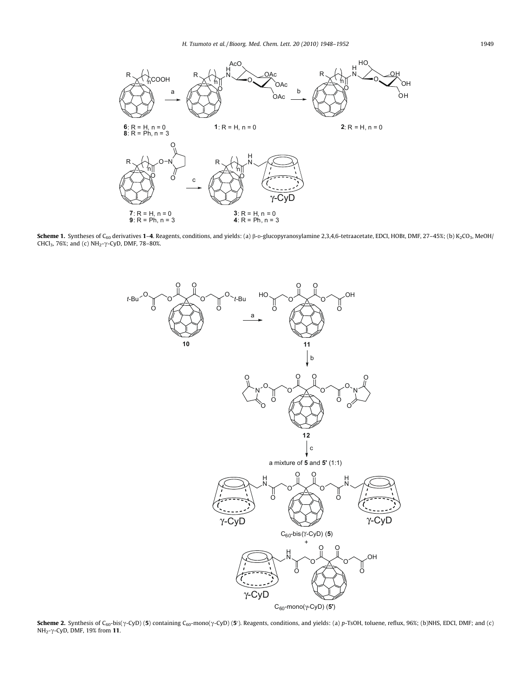<span id="page-1-0"></span>

Scheme 1. Syntheses of C<sub>60</sub> derivatives 1-4. Reagents, conditions, and yields: (a)  $\beta$ -D-glucopyranosylamine 2,3,4,6-tetraacetate, EDCI, HOBt, DMF, 27-45%; (b) K<sub>2</sub>CO<sub>3</sub>, MeOH/ CHCl<sub>3</sub>, 76%; and (c) NH<sub>2</sub>- $\gamma$ -CyD, DMF, 78-80%.



**Scheme 2.** Synthesis of C<sub>60</sub>-bis(y-CyD) (**5**) containing C<sub>60</sub>-mono(y-CyD) (**5**'). Reagents, conditions, and yields: (a) p-TsOH, toluene, reflux, 96%; (b)NHS, EDCI, DMF; and (c) NH<sub>2</sub>- $\gamma$ -CyD, DMF, 19% from 11.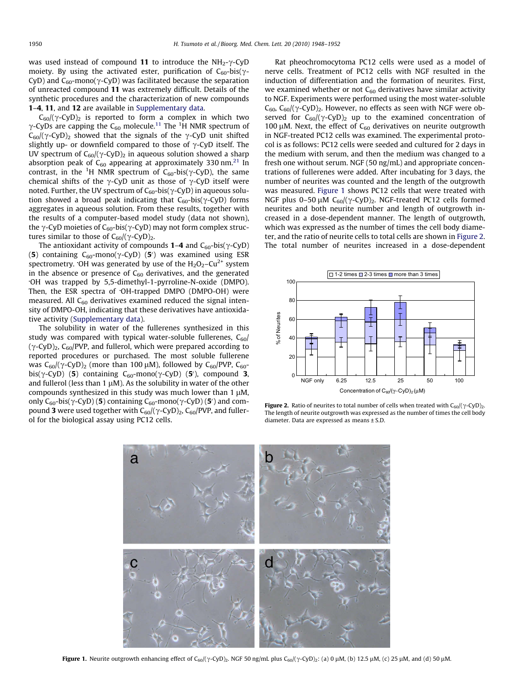was used instead of compound 11 to introduce the  $NH_{2-}\gamma$ -CyD moiety. By using the activated ester, purification of  $C_{60}$ -bis( $\gamma$ -CyD) and  $C_{60}$ -mono( $\gamma$ -CyD) was facilitated because the separation of unreacted compound 11 was extremely difficult. Details of the synthetic procedures and the characterization of new compounds 1–4, 11, and 12 are available in Supplementary data.

 $C_{60}/(\gamma$ -CyD)<sub>2</sub> is reported to form a complex in which two  $\gamma$ -CyDs are capping the C<sub>60</sub> molecule.<sup>[11](#page-3-0)</sup> The <sup>1</sup>H NMR spectrum of  $C_{60}/(\gamma$ -CyD)<sub>2</sub> showed that the signals of the  $\gamma$ -CyD unit shifted slightly up- or downfield compared to those of  $\gamma$ -CyD itself. The UV spectrum of  $C_{60}/(\gamma$ -CyD)<sub>2</sub> in aqueous solution showed a sharp absorption peak of  $C_{60}$  appearing at approximately 330 nm.<sup>[21](#page-4-0)</sup> In contrast, in the <sup>1</sup>H NMR spectrum of C<sub>60</sub>-bis( $\gamma$ -CyD), the same chemical shifts of the  $\gamma$ -CyD unit as those of  $\gamma$ -CyD itself were noted. Further, the UV spectrum of  $C_{60}$ -bis( $\gamma$ -CyD) in aqueous solution showed a broad peak indicating that  $C_{60}$ -bis( $\gamma$ -CyD) forms aggregates in aqueous solution. From these results, together with the results of a computer-based model study (data not shown), the  $\gamma$ -CyD moieties of C<sub>60</sub>-bis( $\gamma$ -CyD) may not form complex structures similar to those of  $C_{60}/(\gamma$ -CyD)<sub>2</sub>.

The antioxidant activity of compounds  $1-4$  and  $C_{60}$ -bis( $\gamma$ -CyD) (5) containing  $C_{60}$ -mono( $\gamma$ -CyD) (5') was examined using ESR spectrometry. OH was generated by use of the  $H_2O_2$ –Cu<sup>2+</sup> system in the absence or presence of  $C_{60}$  derivatives, and the generated OH was trapped by 5,5-dimethyl-1-pyrroline-N-oxide (DMPO). Then, the ESR spectra of OH-trapped DMPO (DMPO-OH) were measured. All  $C_{60}$  derivatives examined reduced the signal intensity of DMPO-OH, indicating that these derivatives have antioxidative activity (Supplementary data).

The solubility in water of the fullerenes synthesized in this study was compared with typical water-soluble fullerenes,  $C_{60}$ /  $(\gamma$ -CyD)<sub>2</sub>, C<sub>60</sub>/PVP, and fullerol, which were prepared according to reported procedures or purchased. The most soluble fullerene was  $C_{60}/(\gamma$ -CyD)<sub>2</sub> (more than 100  $\mu$ M), followed by C<sub>60</sub>/PVP, C<sub>60</sub>bis( $\gamma$ -CyD) (5) containing C<sub>60</sub>-mono( $\gamma$ -CyD) (5<sup>'</sup>), compound 3, and fullerol (less than 1  $\mu$ M). As the solubility in water of the other compounds synthesized in this study was much lower than  $1 \mu$ M, only  $C_{60}$ -bis( $\gamma$ -CyD) (5) containing  $C_{60}$ -mono( $\gamma$ -CyD) (5') and compound 3 were used together with  $C_{60}/(\gamma$ -CyD)<sub>2</sub>, C<sub>60</sub>/PVP, and fullerol for the biological assay using PC12 cells.

Rat pheochromocytoma PC12 cells were used as a model of nerve cells. Treatment of PC12 cells with NGF resulted in the induction of differentiation and the formation of neurites. First, we examined whether or not  $C_{60}$  derivatives have similar activity to NGF. Experiments were performed using the most water-soluble  $C_{60}$ ,  $C_{60}/(\gamma$ -CyD)<sub>2</sub>. However, no effects as seen with NGF were observed for  $C_{60}/(\gamma$ -CyD)<sub>2</sub> up to the examined concentration of 100  $\mu$ M. Next, the effect of C<sub>60</sub> derivatives on neurite outgrowth in NGF-treated PC12 cells was examined. The experimental protocol is as follows: PC12 cells were seeded and cultured for 2 days in the medium with serum, and then the medium was changed to a fresh one without serum. NGF (50 ng/mL) and appropriate concentrations of fullerenes were added. After incubating for 3 days, the number of neurites was counted and the length of the outgrowth was measured. Figure 1 shows PC12 cells that were treated with NGF plus 0-50  $\mu$ M C<sub>60</sub>/( $\gamma$ -CyD)<sub>2</sub>. NGF-treated PC12 cells formed neurites and both neurite number and length of outgrowth increased in a dose-dependent manner. The length of outgrowth, which was expressed as the number of times the cell body diameter, and the ratio of neurite cells to total cells are shown in Figure 2. The total number of neurites increased in a dose-dependent



Figure 2. Ratio of neurites to total number of cells when treated with  $C_{60}/(\gamma$ -CyD)<sub>2</sub>. The length of neurite outgrowth was expressed as the number of times the cell body diameter. Data are expressed as means ± S.D.



Figure 1. Neurite outgrowth enhancing effect of C<sub>60</sub>/( $\gamma$ -CyD)<sub>2</sub>. NGF 50 ng/mL plus C<sub>60</sub>/( $\gamma$ -CyD)<sub>2</sub>: (a) 0  $\mu$ M, (b) 12.5  $\mu$ M, (c) 25  $\mu$ M, and (d) 50  $\mu$ M.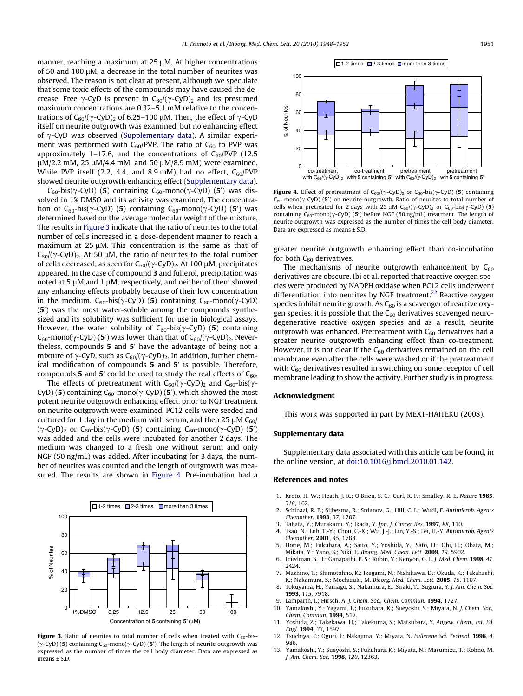<span id="page-3-0"></span>manner, reaching a maximum at 25 uM. At higher concentrations of 50 and 100 uM, a decrease in the total number of neurites was observed. The reason is not clear at present, although we speculate that some toxic effects of the compounds may have caused the decrease. Free  $\gamma$ -CyD is present in C<sub>60</sub>/( $\gamma$ -CyD)<sub>2</sub> and its presumed maximum concentrations are 0.32–5.1 mM relative to the concentrations of  $C_{60}/(\gamma$ -CyD)<sub>2</sub> of 6.25–100 µM. Then, the effect of  $\gamma$ -CyD itself on neurite outgrowth was examined, but no enhancing effect of  $\gamma$ -CyD was observed (Supplementary data). A similar experiment was performed with  $C_{60}$ /PVP. The ratio of  $C_{60}$  to PVP was approximately 1–17.6, and the concentrations of  $C_{60}/PVP$  (12.5)  $\mu$ M/2.2 mM, 25  $\mu$ M/4.4 mM, and 50  $\mu$ M/8.9 mM) were examined. While PVP itself (2.2, 4.4, and 8.9 mM) had no effect,  $C_{60}$ /PVP showed neurite outgrowth enhancing effect (Supplementary data).

 $C_{60}$ -bis( $\gamma$ -CyD) (5) containing  $C_{60}$ -mono( $\gamma$ -CyD) (5') was dissolved in 1% DMSO and its activity was examined. The concentration of C<sub>60</sub>-bis( $\gamma$ -CyD) (**5**) containing C<sub>60</sub>-mono( $\gamma$ -CyD) (**5**') was determined based on the average molecular weight of the mixture. The results in Figure 3 indicate that the ratio of neurites to the total number of cells increased in a dose-dependent manner to reach a maximum at  $25 \mu$ M. This concentration is the same as that of  $C_{60}/(\gamma$ -CyD)<sub>2</sub>. At 50 µM, the ratio of neurites to the total number of cells decreased, as seen for  $C_{60}/(\gamma$ -CyD)<sub>2</sub>. At 100 µM, precipitates appeared. In the case of compound 3 and fullerol, precipitation was noted at 5  $\mu$ M and 1  $\mu$ M, respectively, and neither of them showed any enhancing effects probably because of their low concentration in the medium.  $C_{60}$ -bis( $\gamma$ -CyD) (5) containing  $C_{60}$ -mono( $\gamma$ -CyD) (5<sup>'</sup>) was the most water-soluble among the compounds synthesized and its solubility was sufficient for use in biological assays. However, the water solubility of  $C_{60}$ -bis( $\gamma$ -CyD) (5) containing  $C_{60}$ -mono( $\gamma$ -CyD) (5') was lower than that of  $C_{60}/(\gamma$ -CyD)<sub>2</sub>. Nevertheless, compounds  $5$  and  $5'$  have the advantage of being not a mixture of  $\gamma$ -CyD, such as C<sub>60</sub>/( $\gamma$ -CyD)<sub>2</sub>. In addition, further chemical modification of compounds  $5$  and  $5'$  is possible. Therefore, compounds 5 and 5' could be used to study the real effects of  $C_{60}$ .

The effects of pretreatment with  $C_{60}/(\gamma$ -CyD)<sub>2</sub> and  $C_{60}$ -bis( $\gamma$ -CyD) (5) containing  $C_{60}$ -mono( $\gamma$ -CyD) (5'), which showed the most potent neurite outgrowth enhancing effect, prior to NGF treatment on neurite outgrowth were examined. PC12 cells were seeded and cultured for 1 day in the medium with serum, and then 25  $\mu$ M C<sub>60</sub>/ (γ-CyD)<sub>2</sub> or C<sub>60</sub>-bis(γ-CyD) (5) containing C<sub>60</sub>-mono(γ-CyD) (5<sup>'</sup>) was added and the cells were incubated for another 2 days. The medium was changed to a fresh one without serum and only NGF (50 ng/mL) was added. After incubating for 3 days, the number of neurites was counted and the length of outgrowth was measured. The results are shown in Figure 4. Pre-incubation had a



**Figure 3.** Ratio of neurites to total number of cells when treated with  $C_{60}$ -bis-(γ-CyD) (5) containing C<sub>60</sub>-mono(γ-CyD) (5'). The length of neurite outgrowth was expressed as the number of times the cell body diameter. Data are expressed as means ± S.D.



Figure 4. Effect of pretreatment of  $C_{60}/(\gamma$ -CyD)<sub>2</sub> or  $C_{60}$ -bis( $\gamma$ -CyD) (5) containing  $C_{60}$ -mono( $\gamma$ -CyD) (5') on neurite outgrowth. Ratio of neurites to total number of cells when pretreated for 2 days with 25  $\mu$ M C<sub>60</sub>/( $\gamma$ -CyD)<sub>2</sub> or C<sub>60</sub>-bis( $\gamma$ -CyD) (5) containing  $C_{60}$ -mono( $\gamma$ -CyD) (5') before NGF (50 ng/mL) treatment. The length of neurite outgrowth was expressed as the number of times the cell body diameter. Data are expressed as means ± S.D.

greater neurite outgrowth enhancing effect than co-incubation for both  $C_{60}$  derivatives.

The mechanisms of neurite outgrowth enhancement by  $C_{60}$ derivatives are obscure. Ibi et al. reported that reactive oxygen species were produced by NADPH oxidase when PC12 cells underwent differentiation into neurites by NGF treatment.<sup>22</sup> Reactive oxygen species inhibit neurite growth. As  $C_{60}$  is a scavenger of reactive oxygen species, it is possible that the  $C_{60}$  derivatives scavenged neurodegenerative reactive oxygen species and as a result, neurite outgrowth was enhanced. Pretreatment with  $C_{60}$  derivatives had a greater neurite outgrowth enhancing effect than co-treatment. However, it is not clear if the  $C_{60}$  derivatives remained on the cell membrane even after the cells were washed or if the pretreatment with  $C_{60}$  derivatives resulted in switching on some receptor of cell membrane leading to show the activity. Further study is in progress.

#### Acknowledgment

This work was supported in part by MEXT-HAITEKU (2008).

## Supplementary data

Supplementary data associated with this article can be found, in the online version, at [doi:10.1016/j.bmcl.2010.01.142.](http://dx.doi.org/10.1016/j.bmcl.2010.01.142)

#### References and notes

- 1. Kroto, H. W.; Heath, J. R.; O'Brien, S. C.; Curl, R. F.; Smalley, R. E. Nature 1985, 318, 162.
- 2. Schinazi, R. F.; Sijbesma, R.; Srdanov, G.; Hill, C. L.; Wudl, F. Antimicrob. Agents Chemother. 1993, 37, 1707.
- 3. Tabata, Y.; Murakami, Y.; Ikada, Y. Jpn. J. Cancer Res. **1997**, 88, 110.<br>4. Tsao, N.: Luh. T.-Y.: Chou. C.-K.: Wu. L-L.: Lin. Y.-S.: Lei. H.-Y. Antimi
- Tsao, N.; Luh, T.-Y.; Chou, C.-K.; Wu, J.-J.; Lin, Y.-S.; Lei, H.-Y. Antimicrob. Agents Chemother. 2001, 45, 1788. 5. Horie, M.; Fukuhara, A.; Saito, Y.; Yoshida, Y.; Sato, H.; Ohi, H.; Obata, M.;
- Mikata, Y.; Yano, S.; Niki, E. Bioorg. Med. Chem. Lett. 2009, 19, 5902. 6. Friedman, S. H.; Ganapathi, P. S.; Rubin, Y.; Kenyon, G. L. J. Med. Chem. 1998, 41,
- 2424.
- 7. Mashino, T.; Shimotohno, K.; Ikegami, N.; Nishikawa, D.; Okuda, K.; Takahashi, K.; Nakamura, S.; Mochizuki, M. Bioorg. Med. Chem. Lett. 2005, 15, 1107.
- 8. Tokuyama, H.; Yamago, S.; Nakamura, E.; Siraki, T.; Sugiura, Y. J. Am. Chem. Soc. 1993, 115, 7918.
- 9. Lamparth, I.; Hirsch, A. J. Chem. Soc., Chem. Commun. 1994, 1727.
- 10. Yamakoshi, Y.; Yagami, T.; Fukuhara, K.; Sueyoshi, S.; Miyata, N. J. Chem. Soc., Chem. Commun. 1994, 517.
- 11. Yoshida, Z.; Takekawa, H.; Takekuma, S.; Matsubara, Y. Angew. Chem., Int. Ed. Engl. 1994, 33, 1597.
- 12. Tsuchiya, T.; Oguri, I.; Nakajima, Y.; Miyata, N. Fullerene Sci. Technol. 1996, 4, 986.
- 13. Yamakoshi, Y.; Sueyoshi, S.; Fukuhara, K.; Miyata, N.; Masumizu, T.; Kohno, M. J. Am. Chem. Soc. 1998, 120, 12363.